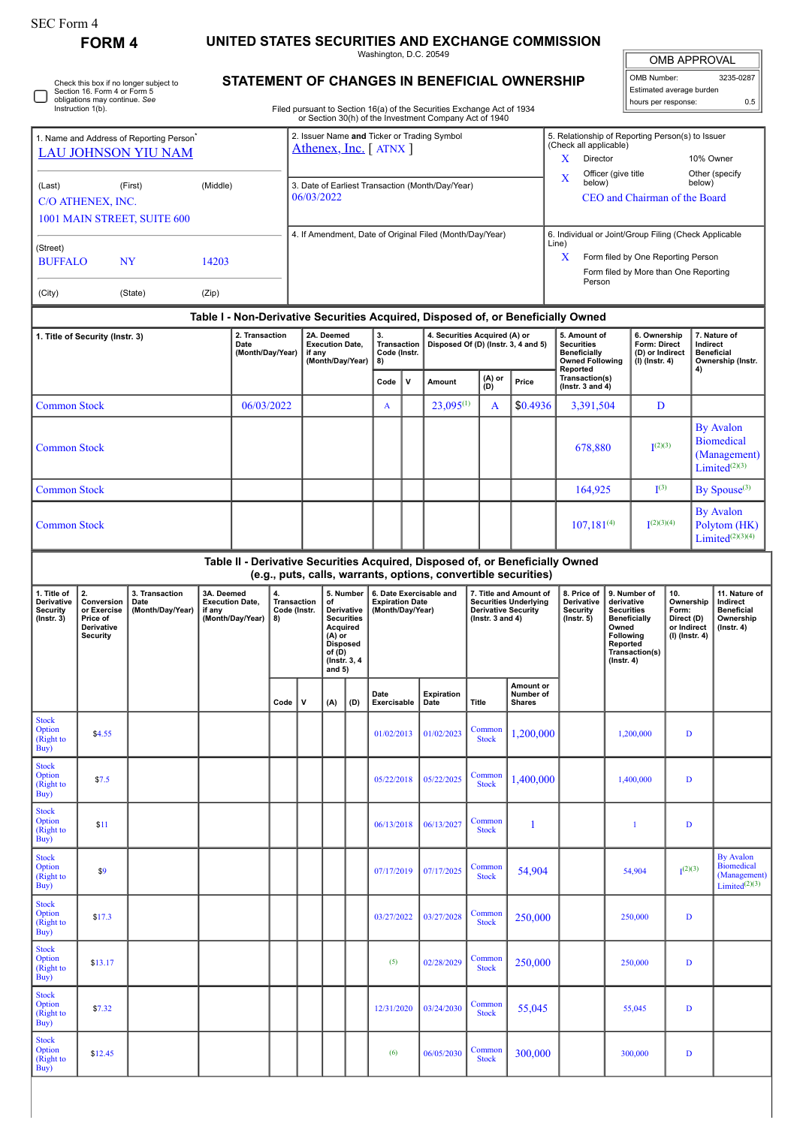| SEC Form 4<br><b>FORM 4</b>                                            | UNITED STATES SECURITIES AND EXCHANGE COMMISSION<br>Washington, D.C. 20549 |              |
|------------------------------------------------------------------------|----------------------------------------------------------------------------|--------------|
| Check this box if no longer subject to<br>Section 16, Form 4 or Form 5 | <b>STATEMENT OF CHANGES IN BENEFICIAL OWNERSHIP</b>                        | l om<br>Esti |
| obligations may continue. See<br>Instruction 1(b).                     | Filed pursuant to Section 16(a) of the Securities Exchange Act of 1934     | l hou        |

Filed pursuant to Section 16(a) of the Securities Exchange Act of 1934 or Section 30(h) of the Investment Company Act of 1940

| <b>OMB APPROVAL</b>                             |     |  |  |  |  |  |  |  |  |  |  |
|-------------------------------------------------|-----|--|--|--|--|--|--|--|--|--|--|
| OMB Number:<br>3235-0287                        |     |  |  |  |  |  |  |  |  |  |  |
| Estimated average burden<br>hours per response: |     |  |  |  |  |  |  |  |  |  |  |
|                                                 | 0.5 |  |  |  |  |  |  |  |  |  |  |

| 1. Name and Address of Reporting Person <sup>*</sup><br><b>LAU JOHNSON YIU NAM</b> |                                                                                  |                          |            |                                            |      | 2. Issuer Name and Ticker or Trading Symbol<br>Athenex, Inc. [ATNX ]       |            |                                                                                 |                                                |   |                                                          |                                                                                     |                                                                                                                                                 | 5. Relationship of Reporting Person(s) to Issuer<br>(Check all applicable)<br>X<br>Director<br>10% Owner |                                                                                                                                |                                                                           |                                                                   |                                                                              |  |  |
|------------------------------------------------------------------------------------|----------------------------------------------------------------------------------|--------------------------|------------|--------------------------------------------|------|----------------------------------------------------------------------------|------------|---------------------------------------------------------------------------------|------------------------------------------------|---|----------------------------------------------------------|-------------------------------------------------------------------------------------|-------------------------------------------------------------------------------------------------------------------------------------------------|----------------------------------------------------------------------------------------------------------|--------------------------------------------------------------------------------------------------------------------------------|---------------------------------------------------------------------------|-------------------------------------------------------------------|------------------------------------------------------------------------------|--|--|
| (Last)<br>(Middle)<br>(First)<br>C/O ATHENEX, INC.<br>1001 MAIN STREET, SUITE 600  |                                                                                  |                          |            |                                            |      |                                                                            | 06/03/2022 |                                                                                 |                                                |   | 3. Date of Earliest Transaction (Month/Day/Year)         |                                                                                     |                                                                                                                                                 | Officer (give title<br>Other (specify<br>x<br>below)<br>below)<br>CEO and Chairman of the Board          |                                                                                                                                |                                                                           |                                                                   |                                                                              |  |  |
|                                                                                    |                                                                                  |                          |            |                                            |      |                                                                            |            |                                                                                 |                                                |   | 4. If Amendment, Date of Original Filed (Month/Day/Year) |                                                                                     |                                                                                                                                                 | 6. Individual or Joint/Group Filing (Check Applicable                                                    |                                                                                                                                |                                                                           |                                                                   |                                                                              |  |  |
| (Street)<br><b>BUFFALO</b>                                                         |                                                                                  | <b>NY</b>                | 14203      |                                            |      |                                                                            |            |                                                                                 |                                                |   |                                                          |                                                                                     |                                                                                                                                                 | Line)<br>X<br>Form filed by One Reporting Person<br>Form filed by More than One Reporting                |                                                                                                                                |                                                                           |                                                                   |                                                                              |  |  |
| (City)                                                                             |                                                                                  | (State)                  | (Zip)      |                                            |      |                                                                            |            |                                                                                 |                                                |   |                                                          |                                                                                     |                                                                                                                                                 | Person                                                                                                   |                                                                                                                                |                                                                           |                                                                   |                                                                              |  |  |
|                                                                                    | Table I - Non-Derivative Securities Acquired, Disposed of, or Beneficially Owned |                          |            |                                            |      |                                                                            |            |                                                                                 |                                                |   |                                                          |                                                                                     |                                                                                                                                                 |                                                                                                          |                                                                                                                                |                                                                           |                                                                   |                                                                              |  |  |
| 2. Transaction<br>1. Title of Security (Instr. 3)<br>Date<br>(Month/Day/Year)      |                                                                                  |                          |            |                                            |      | 2A. Deemed<br><b>Execution Date.</b><br>if any<br>(Month/Day/Year)         |            |                                                                                 | 3.<br><b>Transaction</b><br>Code (Instr.<br>8) |   |                                                          | 4. Securities Acquired (A) or                                                       | Disposed Of (D) (Instr. 3, 4 and 5)                                                                                                             | 5. Amount of<br><b>Securities</b><br><b>Beneficially</b><br><b>Owned Following</b><br>Reported           |                                                                                                                                | 6. Ownership<br>Form: Direct<br>(D) or Indirect<br>(I) (Instr. 4)         |                                                                   | 7. Nature of<br>Indirect<br><b>Beneficial</b><br>Ownership (Instr.<br>4)     |  |  |
|                                                                                    |                                                                                  |                          |            |                                            |      |                                                                            |            |                                                                                 | Code                                           | v | Amount                                                   | (A) or<br>(D)                                                                       | Price                                                                                                                                           | Transaction(s)<br>(Instr. $3$ and $4$ )                                                                  |                                                                                                                                |                                                                           |                                                                   |                                                                              |  |  |
| <b>Common Stock</b>                                                                |                                                                                  |                          |            | 06/03/2022                                 |      |                                                                            |            |                                                                                 | A                                              |   | $23,095^{(1)}$                                           | A                                                                                   | \$0.4936                                                                                                                                        | 3,391,504                                                                                                |                                                                                                                                | D                                                                         |                                                                   |                                                                              |  |  |
| <b>Common Stock</b>                                                                |                                                                                  |                          |            |                                            |      |                                                                            |            |                                                                                 |                                                |   |                                                          | 678,880                                                                             |                                                                                                                                                 | (2)(3)                                                                                                   |                                                                                                                                | <b>By Avalon</b><br><b>Biomedical</b><br>(Management)<br>Limited $(2)(3)$ |                                                                   |                                                                              |  |  |
| <b>Common Stock</b>                                                                |                                                                                  |                          |            |                                            |      |                                                                            |            |                                                                                 |                                                |   |                                                          |                                                                                     |                                                                                                                                                 | 164,925                                                                                                  |                                                                                                                                | $\mathbf{I}^{(3)}$                                                        |                                                                   | By Spouse <sup>(3)</sup>                                                     |  |  |
| <b>Common Stock</b>                                                                |                                                                                  |                          |            |                                            |      |                                                                            |            |                                                                                 |                                                |   |                                                          |                                                                                     |                                                                                                                                                 | $107,181^{(4)}$                                                                                          |                                                                                                                                | (2)(3)(4)                                                                 | <b>By Avalon</b><br>Polytom (HK)<br>Limited $(2)(3)(4)$           |                                                                              |  |  |
|                                                                                    |                                                                                  |                          |            |                                            |      |                                                                            |            |                                                                                 |                                                |   |                                                          |                                                                                     | Table II - Derivative Securities Acquired, Disposed of, or Beneficially Owned<br>(e.g., puts, calls, warrants, options, convertible securities) |                                                                                                          |                                                                                                                                |                                                                           |                                                                   |                                                                              |  |  |
| 1. Title of                                                                        | 2.                                                                               | 3. Transaction           | 3A. Deemed |                                            | 4.   |                                                                            |            | 5. Number                                                                       |                                                |   | 6. Date Exercisable and                                  |                                                                                     | 7. Title and Amount of                                                                                                                          | 8. Price of                                                                                              | 9. Number of                                                                                                                   |                                                                           | 10.                                                               | 11. Nature of                                                                |  |  |
| Derivative<br>Security<br>$($ Instr. 3 $)$                                         | Conversion<br>or Exercise<br>Price of<br>Derivative<br><b>Security</b>           | Date<br>(Month/Day/Year) | if any     | <b>Execution Date,</b><br>(Month/Day/Year) | 8)   | <b>Transaction</b><br>of<br>Code (Instr.<br>$(A)$ or<br>of (D)<br>and $5)$ |            | Derivative<br><b>Securities</b><br>Acquired<br><b>Disposed</b><br>(Instr. 3, 4) | <b>Expiration Date</b><br>(Month/Day/Year)     |   |                                                          | <b>Securities Underlying</b><br><b>Derivative Security</b><br>(Instr. $3$ and $4$ ) |                                                                                                                                                 | Derivative<br><b>Security</b><br>$($ Instr. 5 $)$                                                        | derivative<br><b>Securities</b><br><b>Beneficially</b><br>Owned<br>Following<br>Reported<br>Transaction(s)<br>$($ Instr. 4 $)$ |                                                                           | Ownership<br>Form:<br>Direct (D)<br>or Indirect<br>(I) (Instr. 4) | Indirect<br><b>Beneficial</b><br>Ownership<br>$($ Instr. 4 $)$               |  |  |
|                                                                                    |                                                                                  |                          |            |                                            | Code | v                                                                          | (A)        | (D)                                                                             | Date<br>Exercisable                            |   | <b>Expiration</b><br>Date                                | <b>Title</b>                                                                        | Amount or<br>Number of<br><b>Shares</b>                                                                                                         |                                                                                                          |                                                                                                                                |                                                                           |                                                                   |                                                                              |  |  |
| <b>Stock</b><br>Option<br>(Right to<br>Buy)                                        | \$4.55                                                                           |                          |            |                                            |      |                                                                            |            |                                                                                 | 01/02/2013                                     |   | 01/02/2023                                               | Common<br><b>Stock</b>                                                              | 1,200,000                                                                                                                                       |                                                                                                          |                                                                                                                                | 1,200,000                                                                 |                                                                   |                                                                              |  |  |
| <b>Stock</b><br>Option<br>(Right to<br>Buy)                                        | \$7.5                                                                            |                          |            |                                            |      |                                                                            |            |                                                                                 | 05/22/2018                                     |   | 05/22/2025                                               | Common<br><b>Stock</b>                                                              | 1,400,000                                                                                                                                       |                                                                                                          | 1.400.000                                                                                                                      |                                                                           | D                                                                 |                                                                              |  |  |
| <b>Stock</b><br>Option<br>(Right to<br>Buy)                                        | \$11                                                                             |                          |            |                                            |      |                                                                            |            |                                                                                 | 06/13/2018                                     |   | 06/13/2027                                               | Common<br><b>Stock</b>                                                              | -1                                                                                                                                              |                                                                                                          |                                                                                                                                | $\mathbf{1}$                                                              |                                                                   | D                                                                            |  |  |
| <b>Stock</b><br>Option<br>(Right to<br>Buy)                                        | \$9                                                                              |                          |            |                                            |      |                                                                            |            |                                                                                 | 07/17/2019                                     |   | 07/17/2025                                               | Common<br><b>Stock</b>                                                              | 54,904                                                                                                                                          |                                                                                                          | 54,904                                                                                                                         |                                                                           | I <sub>1</sub> (2)(3)                                             | <b>By Avalon</b><br><b>Biomedical</b><br>(Management)<br>Limited $^{(2)(3)}$ |  |  |
| <b>Stock</b><br>Option<br>(Right to<br>Buy)                                        | \$17.3                                                                           |                          |            |                                            |      |                                                                            |            |                                                                                 | 03/27/2022                                     |   | 03/27/2028                                               | Common<br><b>Stock</b>                                                              | 250,000                                                                                                                                         |                                                                                                          |                                                                                                                                | 250,000<br>D                                                              |                                                                   |                                                                              |  |  |
| <b>Stock</b><br>Option<br>(Right to<br>Buy)                                        | \$13.17                                                                          |                          |            |                                            |      |                                                                            |            |                                                                                 | (5)                                            |   | 02/28/2029                                               | Common<br><b>Stock</b>                                                              | 250,000                                                                                                                                         |                                                                                                          | 250,000                                                                                                                        |                                                                           | D                                                                 |                                                                              |  |  |
| <b>Stock</b><br>Option<br>(Right to<br>Buy)                                        | \$7.32                                                                           |                          |            |                                            |      |                                                                            |            |                                                                                 | 12/31/2020                                     |   | 03/24/2030                                               | Common<br><b>Stock</b>                                                              | 55,045                                                                                                                                          |                                                                                                          | 55,045                                                                                                                         |                                                                           | D                                                                 |                                                                              |  |  |
| <b>Stock</b><br>Option<br>(Right to<br>Buy)                                        | \$12.45                                                                          |                          |            |                                            |      |                                                                            |            |                                                                                 | (6)                                            |   | 06/05/2030                                               | Common<br><b>Stock</b>                                                              | 300,000                                                                                                                                         |                                                                                                          | 300,000                                                                                                                        |                                                                           | D                                                                 |                                                                              |  |  |